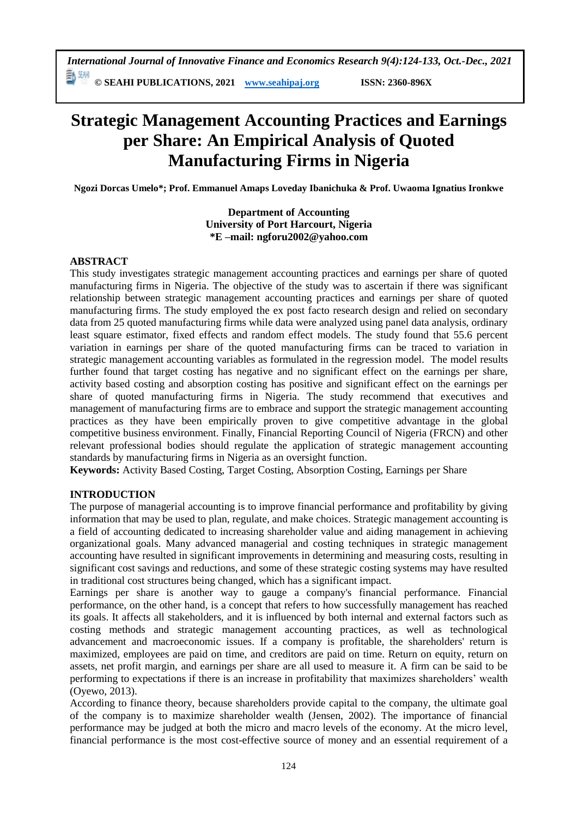*International Journal of Innovative Finance and Economics Research 9(4):124-133, Oct.-Dec., 2021* 副洲

**© SEAHI PUBLICATIONS, 2021 [www.seahipaj.org](http://www.seahipaj.org/) ISSN: 2360-896X**

# **Strategic Management Accounting Practices and Earnings per Share: An Empirical Analysis of Quoted Manufacturing Firms in Nigeria**

**Ngozi Dorcas Umelo\*; Prof. Emmanuel Amaps Loveday Ibanichuka & Prof. Uwaoma Ignatius Ironkwe**

## **Department of Accounting University of Port Harcourt, Nigeria \*E –mail: ngforu2002@yahoo.com**

# **ABSTRACT**

This study investigates strategic management accounting practices and earnings per share of quoted manufacturing firms in Nigeria. The objective of the study was to ascertain if there was significant relationship between strategic management accounting practices and earnings per share of quoted manufacturing firms. The study employed the ex post facto research design and relied on secondary data from 25 quoted manufacturing firms while data were analyzed using panel data analysis, ordinary least square estimator, fixed effects and random effect models. The study found that 55.6 percent variation in earnings per share of the quoted manufacturing firms can be traced to variation in strategic management accounting variables as formulated in the regression model. The model results further found that target costing has negative and no significant effect on the earnings per share, activity based costing and absorption costing has positive and significant effect on the earnings per share of quoted manufacturing firms in Nigeria. The study recommend that executives and management of manufacturing firms are to embrace and support the strategic management accounting practices as they have been empirically proven to give competitive advantage in the global competitive business environment. Finally, Financial Reporting Council of Nigeria (FRCN) and other relevant professional bodies should regulate the application of strategic management accounting standards by manufacturing firms in Nigeria as an oversight function.

**Keywords:** Activity Based Costing, Target Costing, Absorption Costing, Earnings per Share

# **INTRODUCTION**

The purpose of managerial accounting is to improve financial performance and profitability by giving information that may be used to plan, regulate, and make choices. Strategic management accounting is a field of accounting dedicated to increasing shareholder value and aiding management in achieving organizational goals. Many advanced managerial and costing techniques in strategic management accounting have resulted in significant improvements in determining and measuring costs, resulting in significant cost savings and reductions, and some of these strategic costing systems may have resulted in traditional cost structures being changed, which has a significant impact.

Earnings per share is another way to gauge a company's financial performance. Financial performance, on the other hand, is a concept that refers to how successfully management has reached its goals. It affects all stakeholders, and it is influenced by both internal and external factors such as costing methods and strategic management accounting practices, as well as technological advancement and macroeconomic issues. If a company is profitable, the shareholders' return is maximized, employees are paid on time, and creditors are paid on time. Return on equity, return on assets, net profit margin, and earnings per share are all used to measure it. A firm can be said to be performing to expectations if there is an increase in profitability that maximizes shareholders' wealth (Oyewo, 2013).

According to finance theory, because shareholders provide capital to the company, the ultimate goal of the company is to maximize shareholder wealth (Jensen, 2002). The importance of financial performance may be judged at both the micro and macro levels of the economy. At the micro level, financial performance is the most cost-effective source of money and an essential requirement of a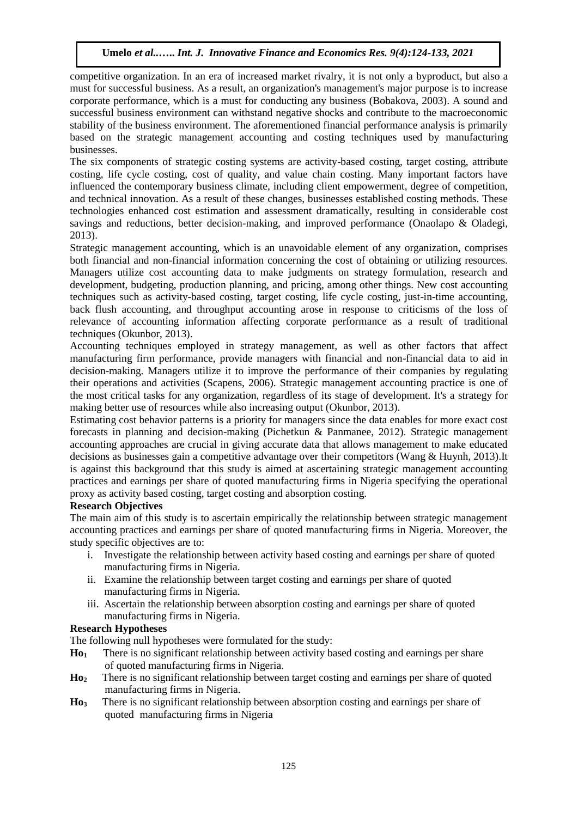competitive organization. In an era of increased market rivalry, it is not only a byproduct, but also a must for successful business. As a result, an organization's management's major purpose is to increase corporate performance, which is a must for conducting any business (Bobakova, 2003). A sound and successful business environment can withstand negative shocks and contribute to the macroeconomic stability of the business environment. The aforementioned financial performance analysis is primarily based on the strategic management accounting and costing techniques used by manufacturing businesses.

The six components of strategic costing systems are activity-based costing, target costing, attribute costing, life cycle costing, cost of quality, and value chain costing. Many important factors have influenced the contemporary business climate, including client empowerment, degree of competition, and technical innovation. As a result of these changes, businesses established costing methods. These technologies enhanced cost estimation and assessment dramatically, resulting in considerable cost savings and reductions, better decision-making, and improved performance (Onaolapo & Oladegi, 2013).

Strategic management accounting, which is an unavoidable element of any organization, comprises both financial and non-financial information concerning the cost of obtaining or utilizing resources. Managers utilize cost accounting data to make judgments on strategy formulation, research and development, budgeting, production planning, and pricing, among other things. New cost accounting techniques such as activity-based costing, target costing, life cycle costing, just-in-time accounting, back flush accounting, and throughput accounting arose in response to criticisms of the loss of relevance of accounting information affecting corporate performance as a result of traditional techniques (Okunbor, 2013).

Accounting techniques employed in strategy management, as well as other factors that affect manufacturing firm performance, provide managers with financial and non-financial data to aid in decision-making. Managers utilize it to improve the performance of their companies by regulating their operations and activities (Scapens, 2006). Strategic management accounting practice is one of the most critical tasks for any organization, regardless of its stage of development. It's a strategy for making better use of resources while also increasing output (Okunbor, 2013).

Estimating cost behavior patterns is a priority for managers since the data enables for more exact cost forecasts in planning and decision-making (Pichetkun & Panmanee, 2012). Strategic management accounting approaches are crucial in giving accurate data that allows management to make educated decisions as businesses gain a competitive advantage over their competitors (Wang & Huynh, 2013).It is against this background that this study is aimed at ascertaining strategic management accounting practices and earnings per share of quoted manufacturing firms in Nigeria specifying the operational proxy as activity based costing, target costing and absorption costing.

# **Research Objectives**

The main aim of this study is to ascertain empirically the relationship between strategic management accounting practices and earnings per share of quoted manufacturing firms in Nigeria. Moreover, the study specific objectives are to:

- i. Investigate the relationship between activity based costing and earnings per share of quoted manufacturing firms in Nigeria.
- ii. Examine the relationship between target costing and earnings per share of quoted manufacturing firms in Nigeria.
- iii. Ascertain the relationship between absorption costing and earnings per share of quoted manufacturing firms in Nigeria.

# **Research Hypotheses**

The following null hypotheses were formulated for the study:

- **Ho1** There is no significant relationship between activity based costing and earnings per share of quoted manufacturing firms in Nigeria.
- **Ho2** There is no significant relationship between target costing and earnings per share of quoted manufacturing firms in Nigeria.
- **Ho3** There is no significant relationship between absorption costing and earnings per share of quoted manufacturing firms in Nigeria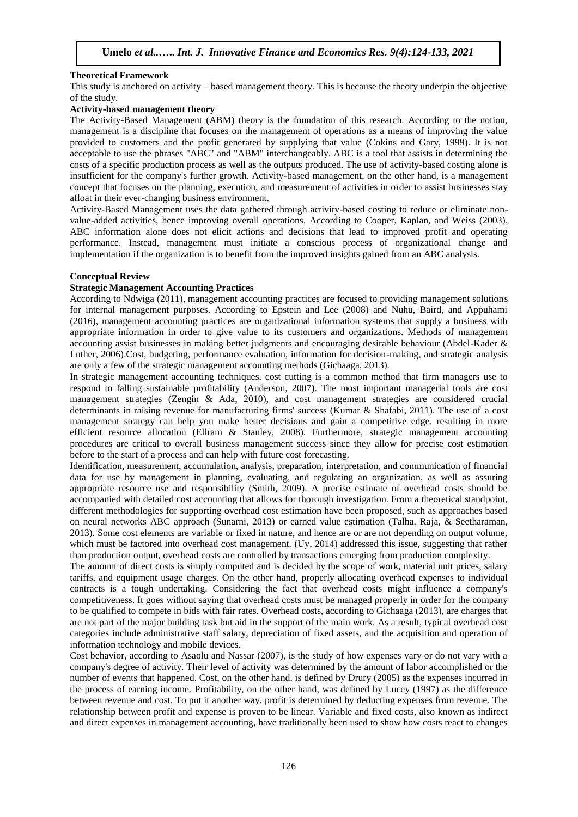## **Theoretical Framework**

This study is anchored on activity – based management theory. This is because the theory underpin the objective of the study.

#### **Activity-based management theory**

The Activity-Based Management (ABM) theory is the foundation of this research. According to the notion, management is a discipline that focuses on the management of operations as a means of improving the value provided to customers and the profit generated by supplying that value (Cokins and Gary, 1999). It is not acceptable to use the phrases "ABC" and "ABM" interchangeably. ABC is a tool that assists in determining the costs of a specific production process as well as the outputs produced. The use of activity-based costing alone is insufficient for the company's further growth. Activity-based management, on the other hand, is a management concept that focuses on the planning, execution, and measurement of activities in order to assist businesses stay afloat in their ever-changing business environment.

Activity-Based Management uses the data gathered through activity-based costing to reduce or eliminate nonvalue-added activities, hence improving overall operations. According to Cooper, Kaplan, and Weiss (2003), ABC information alone does not elicit actions and decisions that lead to improved profit and operating performance. Instead, management must initiate a conscious process of organizational change and implementation if the organization is to benefit from the improved insights gained from an ABC analysis.

## **Conceptual Review**

## **Strategic Management Accounting Practices**

According to Ndwiga (2011), management accounting practices are focused to providing management solutions for internal management purposes. According to Epstein and Lee (2008) and Nuhu, Baird, and Appuhami (2016), management accounting practices are organizational information systems that supply a business with appropriate information in order to give value to its customers and organizations. Methods of management accounting assist businesses in making better judgments and encouraging desirable behaviour (Abdel-Kader & Luther, 2006).Cost, budgeting, performance evaluation, information for decision-making, and strategic analysis are only a few of the strategic management accounting methods (Gichaaga, 2013).

In strategic management accounting techniques, cost cutting is a common method that firm managers use to respond to falling sustainable profitability (Anderson, 2007). The most important managerial tools are cost management strategies (Zengin & Ada, 2010), and cost management strategies are considered crucial determinants in raising revenue for manufacturing firms' success (Kumar & Shafabi, 2011). The use of a cost management strategy can help you make better decisions and gain a competitive edge, resulting in more efficient resource allocation (Ellram & Stanley, 2008). Furthermore, strategic management accounting procedures are critical to overall business management success since they allow for precise cost estimation before to the start of a process and can help with future cost forecasting.

Identification, measurement, accumulation, analysis, preparation, interpretation, and communication of financial data for use by management in planning, evaluating, and regulating an organization, as well as assuring appropriate resource use and responsibility (Smith, 2009). A precise estimate of overhead costs should be accompanied with detailed cost accounting that allows for thorough investigation. From a theoretical standpoint, different methodologies for supporting overhead cost estimation have been proposed, such as approaches based on neural networks ABC approach (Sunarni, 2013) or earned value estimation (Talha, Raja, & Seetharaman, 2013). Some cost elements are variable or fixed in nature, and hence are or are not depending on output volume, which must be factored into overhead cost management. (Uy, 2014) addressed this issue, suggesting that rather than production output, overhead costs are controlled by transactions emerging from production complexity.

The amount of direct costs is simply computed and is decided by the scope of work, material unit prices, salary tariffs, and equipment usage charges. On the other hand, properly allocating overhead expenses to individual contracts is a tough undertaking. Considering the fact that overhead costs might influence a company's competitiveness. It goes without saying that overhead costs must be managed properly in order for the company to be qualified to compete in bids with fair rates. Overhead costs, according to Gichaaga (2013), are charges that are not part of the major building task but aid in the support of the main work. As a result, typical overhead cost categories include administrative staff salary, depreciation of fixed assets, and the acquisition and operation of information technology and mobile devices.

Cost behavior, according to Asaolu and Nassar (2007), is the study of how expenses vary or do not vary with a company's degree of activity. Their level of activity was determined by the amount of labor accomplished or the number of events that happened. Cost, on the other hand, is defined by Drury (2005) as the expenses incurred in the process of earning income. Profitability, on the other hand, was defined by Lucey (1997) as the difference between revenue and cost. To put it another way, profit is determined by deducting expenses from revenue. The relationship between profit and expense is proven to be linear. Variable and fixed costs, also known as indirect and direct expenses in management accounting, have traditionally been used to show how costs react to changes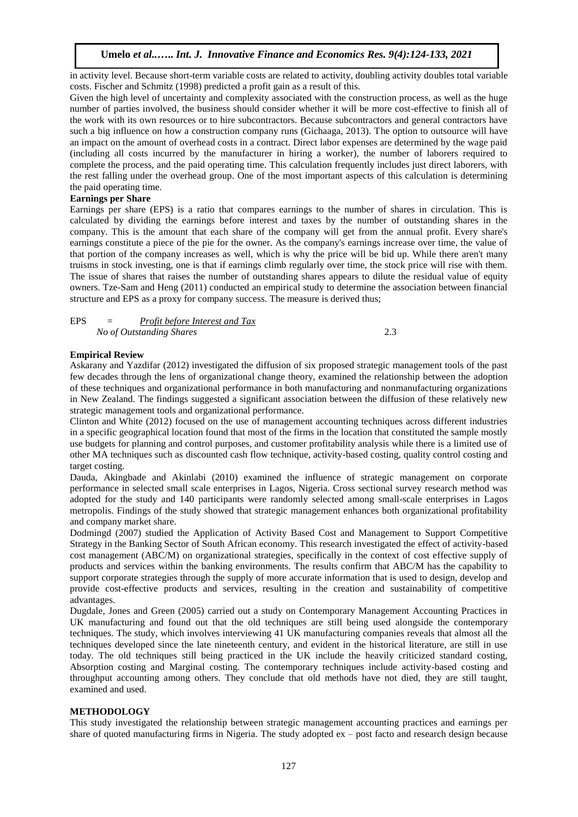in activity level. Because short-term variable costs are related to activity, doubling activity doubles total variable costs. Fischer and Schmitz (1998) predicted a profit gain as a result of this.

Given the high level of uncertainty and complexity associated with the construction process, as well as the huge number of parties involved, the business should consider whether it will be more cost-effective to finish all of the work with its own resources or to hire subcontractors. Because subcontractors and general contractors have such a big influence on how a construction company runs (Gichaaga, 2013). The option to outsource will have an impact on the amount of overhead costs in a contract. Direct labor expenses are determined by the wage paid (including all costs incurred by the manufacturer in hiring a worker), the number of laborers required to complete the process, and the paid operating time. This calculation frequently includes just direct laborers, with the rest falling under the overhead group. One of the most important aspects of this calculation is determining the paid operating time.

## **Earnings per Share**

Earnings per share (EPS) is a ratio that compares earnings to the number of shares in circulation. This is calculated by dividing the earnings before interest and taxes by the number of outstanding shares in the company. This is the amount that each share of the company will get from the annual profit. Every share's earnings constitute a piece of the pie for the owner. As the company's earnings increase over time, the value of that portion of the company increases as well, which is why the price will be bid up. While there aren't many truisms in stock investing, one is that if earnings climb regularly over time, the stock price will rise with them. The issue of shares that raises the number of outstanding shares appears to dilute the residual value of equity owners. Tze-Sam and Heng (2011) conducted an empirical study to determine the association between financial structure and EPS as a proxy for company success. The measure is derived thus;

| <b>EPS</b> | $=$ | Profit before Interest and Tax |  |
|------------|-----|--------------------------------|--|
|            |     | No of Outstanding Shares       |  |

## **Empirical Review**

Askarany and Yazdifar (2012) investigated the diffusion of six proposed strategic management tools of the past few decades through the lens of organizational change theory, examined the relationship between the adoption of these techniques and organizational performance in both manufacturing and nonmanufacturing organizations in New Zealand. The findings suggested a significant association between the diffusion of these relatively new strategic management tools and organizational performance.

Clinton and White (2012) focused on the use of management accounting techniques across different industries in a specific geographical location found that most of the firms in the location that constituted the sample mostly use budgets for planning and control purposes, and customer profitability analysis while there is a limited use of other MA techniques such as discounted cash flow technique, activity-based costing, quality control costing and target costing.

Dauda, Akingbade and Akinlabi (2010) examined the influence of strategic management on corporate performance in selected small scale enterprises in Lagos, Nigeria. Cross sectional survey research method was adopted for the study and 140 participants were randomly selected among small-scale enterprises in Lagos metropolis. Findings of the study showed that strategic management enhances both organizational profitability and company market share.

Dodmingd (2007) studied the Application of Activity Based Cost and Management to Support Competitive Strategy in the Banking Sector of South African economy. This research investigated the effect of activity-based cost management (ABC/M) on organizational strategies, specifically in the context of cost effective supply of products and services within the banking environments. The results confirm that ABC/M has the capability to support corporate strategies through the supply of more accurate information that is used to design, develop and provide cost-effective products and services, resulting in the creation and sustainability of competitive advantages.

Dugdale, Jones and Green (2005) carried out a study on Contemporary Management Accounting Practices in UK manufacturing and found out that the old techniques are still being used alongside the contemporary techniques. The study, which involves interviewing 41 UK manufacturing companies reveals that almost all the techniques developed since the late nineteenth century, and evident in the historical literature, are still in use today. The old techniques still being practiced in the UK include the heavily criticized standard costing, Absorption costing and Marginal costing. The contemporary techniques include activity-based costing and throughput accounting among others. They conclude that old methods have not died, they are still taught, examined and used.

#### **METHODOLOGY**

This study investigated the relationship between strategic management accounting practices and earnings per share of quoted manufacturing firms in Nigeria. The study adopted ex – post facto and research design because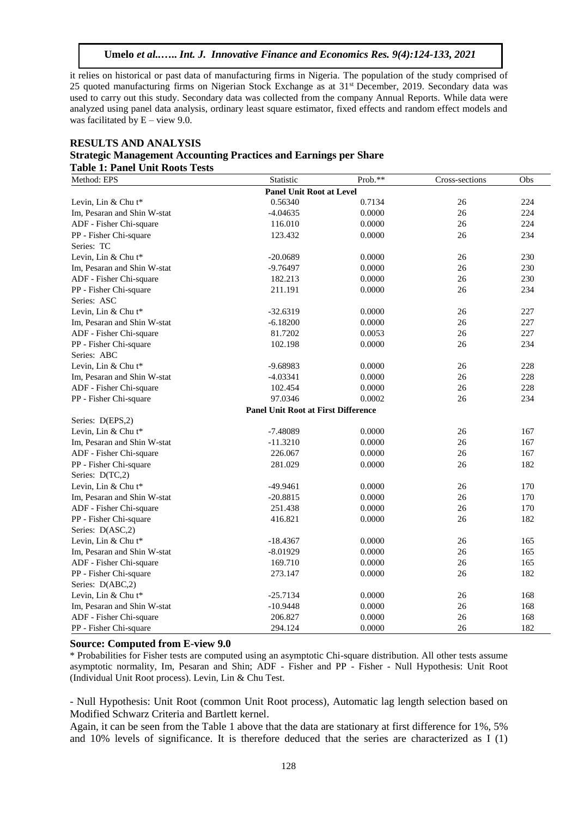it relies on historical or past data of manufacturing firms in Nigeria. The population of the study comprised of 25 quoted manufacturing firms on Nigerian Stock Exchange as at 31st December, 2019. Secondary data was used to carry out this study. Secondary data was collected from the company Annual Reports. While data were analyzed using panel data analysis, ordinary least square estimator, fixed effects and random effect models and was facilitated by  $E -$  view 9.0.

## **RESULTS AND ANALYSIS Strategic Management Accounting Practices and Earnings per Share Table 1: Panel Unit Roots Tests**

| Method: EPS                 | Statistic                                  | Prob.** | Cross-sections | Obs |
|-----------------------------|--------------------------------------------|---------|----------------|-----|
|                             | <b>Panel Unit Root at Level</b>            |         |                |     |
| Levin, Lin $&$ Chu t*       | 0.56340                                    | 0.7134  | 26             | 224 |
| Im, Pesaran and Shin W-stat | $-4.04635$                                 | 0.0000  | 26             | 224 |
| ADF - Fisher Chi-square     | 116.010                                    | 0.0000  | 26             | 224 |
| PP - Fisher Chi-square      | 123.432                                    | 0.0000  | 26             | 234 |
| Series: TC                  |                                            |         |                |     |
| Levin, Lin & Chu t*         | $-20.0689$                                 | 0.0000  | 26             | 230 |
| Im, Pesaran and Shin W-stat | $-9.76497$                                 | 0.0000  | 26             | 230 |
| ADF - Fisher Chi-square     | 182.213                                    | 0.0000  | 26             | 230 |
| PP - Fisher Chi-square      | 211.191                                    | 0.0000  | 26             | 234 |
| Series: ASC                 |                                            |         |                |     |
| Levin, Lin & Chu t*         | $-32.6319$                                 | 0.0000  | 26             | 227 |
| Im, Pesaran and Shin W-stat | $-6.18200$                                 | 0.0000  | 26             | 227 |
| ADF - Fisher Chi-square     | 81.7202                                    | 0.0053  | 26             | 227 |
| PP - Fisher Chi-square      | 102.198                                    | 0.0000  | 26             | 234 |
| Series: ABC                 |                                            |         |                |     |
| Levin, Lin & Chu t*         | $-9.68983$                                 | 0.0000  | 26             | 228 |
| Im, Pesaran and Shin W-stat | $-4.03341$                                 | 0.0000  | 26             | 228 |
| ADF - Fisher Chi-square     | 102.454                                    | 0.0000  | 26             | 228 |
| PP - Fisher Chi-square      | 97.0346                                    | 0.0002  | 26             | 234 |
|                             | <b>Panel Unit Root at First Difference</b> |         |                |     |
| Series: D(EPS,2)            |                                            |         |                |     |
| Levin, Lin & Chu t*         | $-7.48089$                                 | 0.0000  | 26             | 167 |
| Im, Pesaran and Shin W-stat | $-11.3210$                                 | 0.0000  | 26             | 167 |
| ADF - Fisher Chi-square     | 226.067                                    | 0.0000  | 26             | 167 |
| PP - Fisher Chi-square      | 281.029                                    | 0.0000  | 26             | 182 |
| Series: D(TC,2)             |                                            |         |                |     |
| Levin, Lin & Chu t*         | -49.9461                                   | 0.0000  | 26             | 170 |
| Im, Pesaran and Shin W-stat | $-20.8815$                                 | 0.0000  | 26             | 170 |
| ADF - Fisher Chi-square     | 251.438                                    | 0.0000  | 26             | 170 |
| PP - Fisher Chi-square      | 416.821                                    | 0.0000  | 26             | 182 |
| Series: D(ASC,2)            |                                            |         |                |     |
| Levin, Lin & Chu t*         | $-18.4367$                                 | 0.0000  | 26             | 165 |
| Im. Pesaran and Shin W-stat | $-8.01929$                                 | 0.0000  | 26             | 165 |
| ADF - Fisher Chi-square     | 169.710                                    | 0.0000  | 26             | 165 |
| PP - Fisher Chi-square      | 273.147                                    | 0.0000  | 26             | 182 |
| Series: D(ABC,2)            |                                            |         |                |     |
| Levin, Lin & Chu t*         | $-25.7134$                                 | 0.0000  | 26             | 168 |
| Im, Pesaran and Shin W-stat | $-10.9448$                                 | 0.0000  | 26             | 168 |
| ADF - Fisher Chi-square     | 206.827                                    | 0.0000  | 26             | 168 |
| PP - Fisher Chi-square      | 294.124                                    | 0.0000  | 26             | 182 |

## **Source: Computed from E-view 9.0**

\* Probabilities for Fisher tests are computed using an asymptotic Chi-square distribution. All other tests assume asymptotic normality, Im, Pesaran and Shin; ADF - Fisher and PP - Fisher - Null Hypothesis: Unit Root (Individual Unit Root process). Levin, Lin & Chu Test.

- Null Hypothesis: Unit Root (common Unit Root process), Automatic lag length selection based on Modified Schwarz Criteria and Bartlett kernel.

Again, it can be seen from the Table 1 above that the data are stationary at first difference for 1%, 5% and 10% levels of significance. It is therefore deduced that the series are characterized as I (1)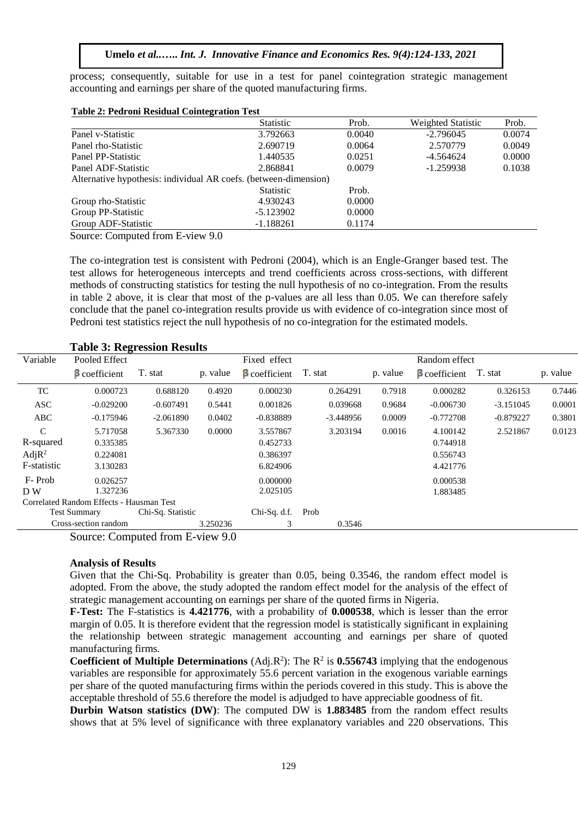process; consequently, suitable for use in a test for panel cointegration strategic management accounting and earnings per share of the quoted manufacturing firms.

|                                                                  | <b>Statistic</b> | Prob.  | <b>Weighted Statistic</b> | Prob.  |
|------------------------------------------------------------------|------------------|--------|---------------------------|--------|
| Panel v-Statistic                                                | 3.792663         | 0.0040 | $-2.796045$               | 0.0074 |
| Panel rho-Statistic                                              | 2.690719         | 0.0064 | 2.570779                  | 0.0049 |
| Panel PP-Statistic                                               | 1.440535         | 0.0251 | $-4.564624$               | 0.0000 |
| Panel ADF-Statistic                                              | 2.868841         | 0.0079 | $-1.259938$               | 0.1038 |
| Alternative hypothesis: individual AR coefs. (between-dimension) |                  |        |                           |        |
|                                                                  | <b>Statistic</b> | Prob.  |                           |        |
| Group rho-Statistic                                              | 4.930243         | 0.0000 |                           |        |
| Group PP-Statistic                                               | $-5.123902$      | 0.0000 |                           |        |
| Group ADF-Statistic                                              | $-1.188261$      | 0.1174 |                           |        |

**Table 2: Pedroni Residual Cointegration Test**

Source: Computed from E-view 9.0

The co-integration test is consistent with Pedroni (2004), which is an Engle-Granger based test. The test allows for heterogeneous intercepts and trend coefficients across cross-sections, with different methods of constructing statistics for testing the null hypothesis of no co-integration. From the results in table 2 above, it is clear that most of the p-values are all less than 0.05. We can therefore safely conclude that the panel co-integration results provide us with evidence of co-integration since most of Pedroni test statistics reject the null hypothesis of no co-integration for the estimated models.

| Variable           | o<br>Pooled Effect                       |                   |          | Fixed effect         |             |          | Random effect       |             |          |
|--------------------|------------------------------------------|-------------------|----------|----------------------|-------------|----------|---------------------|-------------|----------|
|                    | $\beta$ coefficient                      | T. stat           | p. value | <b>B</b> coefficient | T. stat     | p. value | $\beta$ coefficient | T. stat     | p. value |
| TC                 | 0.000723                                 | 0.688120          | 0.4920   | 0.000230             | 0.264291    | 0.7918   | 0.000282            | 0.326153    | 0.7446   |
| ASC                | $-0.029200$                              | $-0.607491$       | 0.5441   | 0.001826             | 0.039668    | 0.9684   | $-0.006730$         | $-3.151045$ | 0.0001   |
| ABC                | $-0.175946$                              | $-2.061890$       | 0.0402   | $-0.838889$          | $-3.448956$ | 0.0009   | $-0.772708$         | $-0.879227$ | 0.3801   |
| $\mathcal{C}$      | 5.717058                                 | 5.367330          | 0.0000   | 3.557867             | 3.203194    | 0.0016   | 4.100142            | 2.521867    | 0.0123   |
| R-squared          | 0.335385                                 |                   |          | 0.452733             |             |          | 0.744918            |             |          |
| Adj R <sup>2</sup> | 0.224081                                 |                   |          | 0.386397             |             |          | 0.556743            |             |          |
| F-statistic        | 3.130283                                 |                   |          | 6.824906             |             |          | 4.421776            |             |          |
| F-Prob             | 0.026257                                 |                   |          | 0.000000             |             |          | 0.000538            |             |          |
| D W                | 1.327236                                 |                   |          | 2.025105             |             |          | 1.883485            |             |          |
|                    | Correlated Random Effects - Hausman Test |                   |          |                      |             |          |                     |             |          |
|                    | <b>Test Summary</b>                      | Chi-Sq. Statistic |          | Chi-Sq. d.f.         | Prob        |          |                     |             |          |
|                    | Cross-section random                     |                   | 3.250236 | 3                    | 0.3546      |          |                     |             |          |
|                    | Source: Computed from $F\text{-view }90$ |                   |          |                      |             |          |                     |             |          |

**Table 3: Regression Results** 

Source: Computed from E-view 9.0

## **Analysis of Results**

Given that the Chi-Sq. Probability is greater than 0.05, being 0.3546, the random effect model is adopted. From the above, the study adopted the random effect model for the analysis of the effect of strategic management accounting on earnings per share of the quoted firms in Nigeria.

**F-Test:** The F-statistics is **4.421776**, with a probability of **0.000538**, which is lesser than the error margin of 0.05. It is therefore evident that the regression model is statistically significant in explaining the relationship between strategic management accounting and earnings per share of quoted manufacturing firms.

**Coefficient of Multiple Determinations** (Adj.R<sup>2</sup>): The R<sup>2</sup> is **0.556743** implying that the endogenous variables are responsible for approximately 55.6 percent variation in the exogenous variable earnings per share of the quoted manufacturing firms within the periods covered in this study. This is above the acceptable threshold of 55.6 therefore the model is adjudged to have appreciable goodness of fit.

**Durbin Watson statistics (DW)**: The computed DW is **1.883485** from the random effect results shows that at 5% level of significance with three explanatory variables and 220 observations. This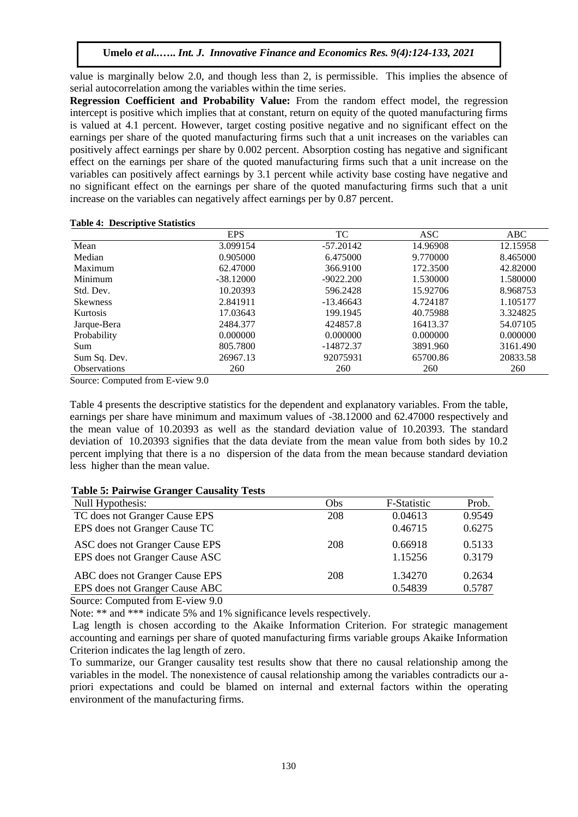value is marginally below 2.0, and though less than 2, is permissible. This implies the absence of serial autocorrelation among the variables within the time series.

**Regression Coefficient and Probability Value:** From the random effect model, the regression intercept is positive which implies that at constant, return on equity of the quoted manufacturing firms is valued at 4.1 percent. However, target costing positive negative and no significant effect on the earnings per share of the quoted manufacturing firms such that a unit increases on the variables can positively affect earnings per share by 0.002 percent. Absorption costing has negative and significant effect on the earnings per share of the quoted manufacturing firms such that a unit increase on the variables can positively affect earnings by 3.1 percent while activity base costing have negative and no significant effect on the earnings per share of the quoted manufacturing firms such that a unit increase on the variables can negatively affect earnings per by 0.87 percent.

## **Table 4: Descriptive Statistics**

|                     | <b>EPS</b>  | TC          | ASC      | ABC      |
|---------------------|-------------|-------------|----------|----------|
| Mean                | 3.099154    | $-57.20142$ | 14.96908 | 12.15958 |
| Median              | 0.905000    | 6.475000    | 9.770000 | 8.465000 |
| Maximum             | 62.47000    | 366.9100    | 172.3500 | 42.82000 |
| Minimum             | $-38.12000$ | $-9022.200$ | 1.530000 | 1.580000 |
| Std. Dev.           | 10.20393    | 596.2428    | 15.92706 | 8.968753 |
| <b>Skewness</b>     | 2.841911    | $-13.46643$ | 4.724187 | 1.105177 |
| <b>Kurtosis</b>     | 17.03643    | 199.1945    | 40.75988 | 3.324825 |
| Jarque-Bera         | 2484.377    | 424857.8    | 16413.37 | 54.07105 |
| Probability         | 0.000000    | 0.000000    | 0.000000 | 0.000000 |
| Sum                 | 805.7800    | $-14872.37$ | 3891.960 | 3161.490 |
| Sum Sq. Dev.        | 26967.13    | 92075931    | 65700.86 | 20833.58 |
| <b>Observations</b> | 260         | 260         | 260      | 260      |

Source: Computed from E-view 9.0

Table 4 presents the descriptive statistics for the dependent and explanatory variables. From the table, earnings per share have minimum and maximum values of -38.12000 and 62.47000 respectively and the mean value of 10.20393 as well as the standard deviation value of 10.20393. The standard deviation of 10.20393 signifies that the data deviate from the mean value from both sides by 10.2 percent implying that there is a no dispersion of the data from the mean because standard deviation less higher than the mean value.

# **Table 5: Pairwise Granger Causality Tests**

| Null Hypothesis:               | Obs | F-Statistic | Prob.  |
|--------------------------------|-----|-------------|--------|
| TC does not Granger Cause EPS  | 208 | 0.04613     | 0.9549 |
| EPS does not Granger Cause TC  |     | 0.46715     | 0.6275 |
| ASC does not Granger Cause EPS | 208 | 0.66918     | 0.5133 |
| EPS does not Granger Cause ASC |     | 1.15256     | 0.3179 |
| ABC does not Granger Cause EPS | 208 | 1.34270     | 0.2634 |
| EPS does not Granger Cause ABC |     | 0.54839     | 0.5787 |

Source: Computed from E-view 9.0

Note: \*\* and \*\*\* indicate 5% and 1% significance levels respectively.

Lag length is chosen according to the Akaike Information Criterion. For strategic management accounting and earnings per share of quoted manufacturing firms variable groups Akaike Information Criterion indicates the lag length of zero.

To summarize, our Granger causality test results show that there no causal relationship among the variables in the model. The nonexistence of causal relationship among the variables contradicts our apriori expectations and could be blamed on internal and external factors within the operating environment of the manufacturing firms.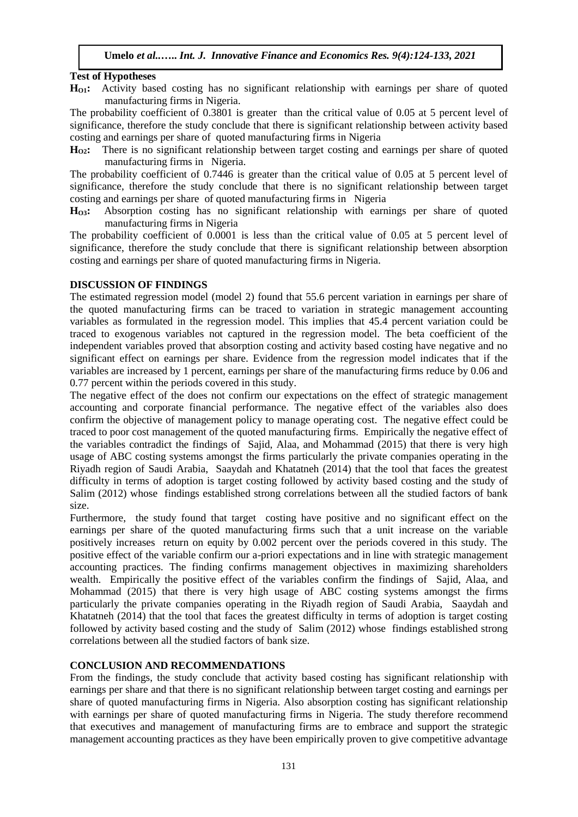# **Test of Hypotheses**

**HO1:** Activity based costing has no significant relationship with earnings per share of quoted manufacturing firms in Nigeria.

The probability coefficient of 0.3801 is greater than the critical value of 0.05 at 5 percent level of significance, therefore the study conclude that there is significant relationship between activity based costing and earnings per share of quoted manufacturing firms in Nigeria

**HO2:** There is no significant relationship between target costing and earnings per share of quoted manufacturing firms in Nigeria.

The probability coefficient of 0.7446 is greater than the critical value of 0.05 at 5 percent level of significance, therefore the study conclude that there is no significant relationship between target costing and earnings per share of quoted manufacturing firms in Nigeria

**HO3:** Absorption costing has no significant relationship with earnings per share of quoted manufacturing firms in Nigeria

The probability coefficient of 0.0001 is less than the critical value of 0.05 at 5 percent level of significance, therefore the study conclude that there is significant relationship between absorption costing and earnings per share of quoted manufacturing firms in Nigeria.

# **DISCUSSION OF FINDINGS**

The estimated regression model (model 2) found that 55.6 percent variation in earnings per share of the quoted manufacturing firms can be traced to variation in strategic management accounting variables as formulated in the regression model. This implies that 45.4 percent variation could be traced to exogenous variables not captured in the regression model. The beta coefficient of the independent variables proved that absorption costing and activity based costing have negative and no significant effect on earnings per share. Evidence from the regression model indicates that if the variables are increased by 1 percent, earnings per share of the manufacturing firms reduce by 0.06 and 0.77 percent within the periods covered in this study.

The negative effect of the does not confirm our expectations on the effect of strategic management accounting and corporate financial performance. The negative effect of the variables also does confirm the objective of management policy to manage operating cost. The negative effect could be traced to poor cost management of the quoted manufacturing firms. Empirically the negative effect of the variables contradict the findings of Sajid, Alaa, and Mohammad (2015) that there is very high usage of ABC costing systems amongst the firms particularly the private companies operating in the Riyadh region of Saudi Arabia, Saaydah and Khatatneh (2014) that the tool that faces the greatest difficulty in terms of adoption is target costing followed by activity based costing and the study of Salim (2012) whose findings established strong correlations between all the studied factors of bank size.

Furthermore, the study found that target costing have positive and no significant effect on the earnings per share of the quoted manufacturing firms such that a unit increase on the variable positively increases return on equity by 0.002 percent over the periods covered in this study. The positive effect of the variable confirm our a-priori expectations and in line with strategic management accounting practices. The finding confirms management objectives in maximizing shareholders wealth. Empirically the positive effect of the variables confirm the findings of Sajid, Alaa, and Mohammad (2015) that there is very high usage of ABC costing systems amongst the firms particularly the private companies operating in the Riyadh region of Saudi Arabia, Saaydah and Khatatneh (2014) that the tool that faces the greatest difficulty in terms of adoption is target costing followed by activity based costing and the study of Salim (2012) whose findings established strong correlations between all the studied factors of bank size.

# **CONCLUSION AND RECOMMENDATIONS**

From the findings, the study conclude that activity based costing has significant relationship with earnings per share and that there is no significant relationship between target costing and earnings per share of quoted manufacturing firms in Nigeria. Also absorption costing has significant relationship with earnings per share of quoted manufacturing firms in Nigeria. The study therefore recommend that executives and management of manufacturing firms are to embrace and support the strategic management accounting practices as they have been empirically proven to give competitive advantage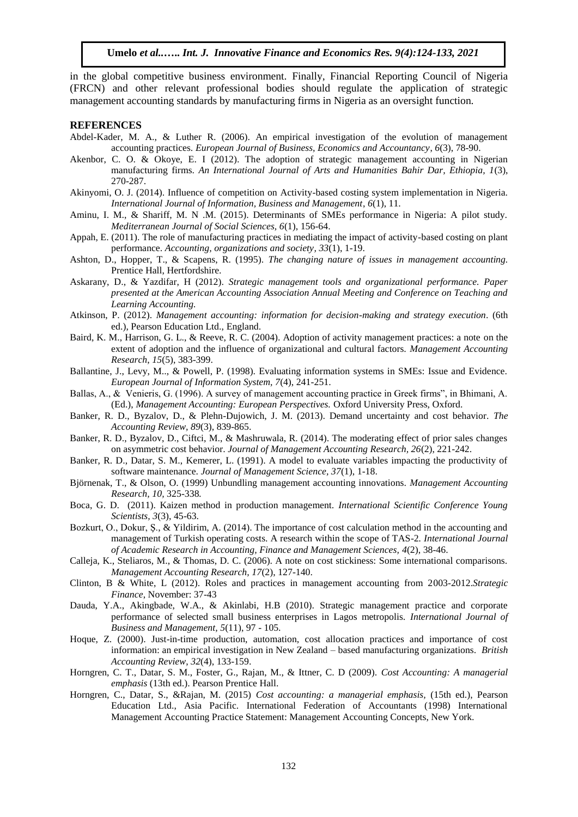in the global competitive business environment. Finally, Financial Reporting Council of Nigeria (FRCN) and other relevant professional bodies should regulate the application of strategic management accounting standards by manufacturing firms in Nigeria as an oversight function.

#### **REFERENCES**

- Abdel-Kader, M. A., & Luther R. (2006). An empirical investigation of the evolution of management accounting practices. *European Journal of Business, Economics and Accountancy*, *6*(3), 78-90.
- Akenbor, C. O. & Okoye, E. I (2012). The adoption of strategic management accounting in Nigerian manufacturing firms. *An International Journal of Arts and Humanities Bahir Dar, Ethiopia, 1*(3), 270-287.
- Akinyomi, O. J. (2014). Influence of competition on Activity-based costing system implementation in Nigeria. *International Journal of Information, Business and Management*, *6*(1), 11.
- Aminu, I. M., & Shariff, M. N .M. (2015). Determinants of SMEs performance in Nigeria: A pilot study. *Mediterranean Journal of Social Sciences, 6*(1), 156-64.
- Appah, E. (2011). The role of manufacturing practices in mediating the impact of activity-based costing on plant performance. *Accounting, organizations and society, 33*(1), 1-19.
- Ashton, D., Hopper, T., & Scapens, R. (1995). *The changing nature of issues in management accounting.* Prentice Hall, Hertfordshire.
- Askarany, D., & Yazdifar, H (2012). *Strategic management tools and organizational performance. Paper presented at the American Accounting Association Annual Meeting and Conference on Teaching and Learning Accounting.*
- Atkinson, P. (2012). *Management accounting: information for decision-making and strategy execution*. (6th ed.), Pearson Education Ltd., England.
- Baird, K. M., Harrison, G. L., & Reeve, R. C. (2004). Adoption of activity management practices: a note on the extent of adoption and the influence of organizational and cultural factors. *Management Accounting Research*, *15*(5), 383-399.
- Ballantine, J., Levy, M.., & Powell, P. (1998). Evaluating information systems in SMEs: Issue and Evidence. *European Journal of Information System, 7*(4), 241-251.
- Ballas, A., & Venieris, G. (1996). A survey of management accounting practice in Greek firms", in Bhimani, A. (Ed.), *Management Accounting: European Perspectives.* Oxford University Press, Oxford.
- Banker, R. D., Byzalov, D., & Plehn-Dujowich, J. M. (2013). Demand uncertainty and cost behavior. *The Accounting Review, 89*(3), 839-865.
- Banker, R. D., Byzalov, D., Ciftci, M., & Mashruwala, R. (2014). The moderating effect of prior sales changes on asymmetric cost behavior. *Journal of Management Accounting Research, 26*(2), 221-242.
- Banker, R. D., Datar, S. M., Kemerer, L. (1991). A model to evaluate variables impacting the productivity of software maintenance. *Journal of Management Science, 37*(1), 1-18.
- Björnenak, T., & Olson, O. (1999) Unbundling management accounting innovations. *Management Accounting Research, 10,* 325-338*.*
- Boca, G. D. (2011). Kaizen method in production management. *International Scientific Conference Young Scientists, 3*(3), 45-63.
- Bozkurt, O., Dokur, Ş., & Yildirim, A. (2014). The importance of cost calculation method in the accounting and management of Turkish operating costs. A research within the scope of TAS-2*. International Journal of Academic Research in Accounting, Finance and Management Sciences, 4*(2), 38-46.
- Calleja, K., Steliaros, M., & Thomas, D. C. (2006). A note on cost stickiness: Some international comparisons. *Management Accounting Research, 17*(2), 127-140.
- Clinton, B & White, L (2012). Roles and practices in management accounting from 2003-2012.*Strategic Finance*, November: 37-43
- Dauda, Y.A., Akingbade, W.A., & Akinlabi, H.B (2010). Strategic management practice and corporate performance of selected small business enterprises in Lagos metropolis. *International Journal of Business and Management, 5*(11), 97 - 105.
- Hoque, Z. (2000). Just-in-time production, automation, cost allocation practices and importance of cost information: an empirical investigation in New Zealand – based manufacturing organizations. *British Accounting Review*, *32*(4), 133-159.
- Horngren, C. T., Datar, S. M., Foster, G., Rajan, M., & Ittner, C. D (2009). *Cost Accounting: A managerial emphasis* (13th ed.). Pearson Prentice Hall.
- Horngren, C., Datar, S., &Rajan, M. (2015) *Cost accounting: a managerial emphasis,* (15th ed.), Pearson Education Ltd., Asia Pacific. International Federation of Accountants (1998) International Management Accounting Practice Statement: Management Accounting Concepts, New York.